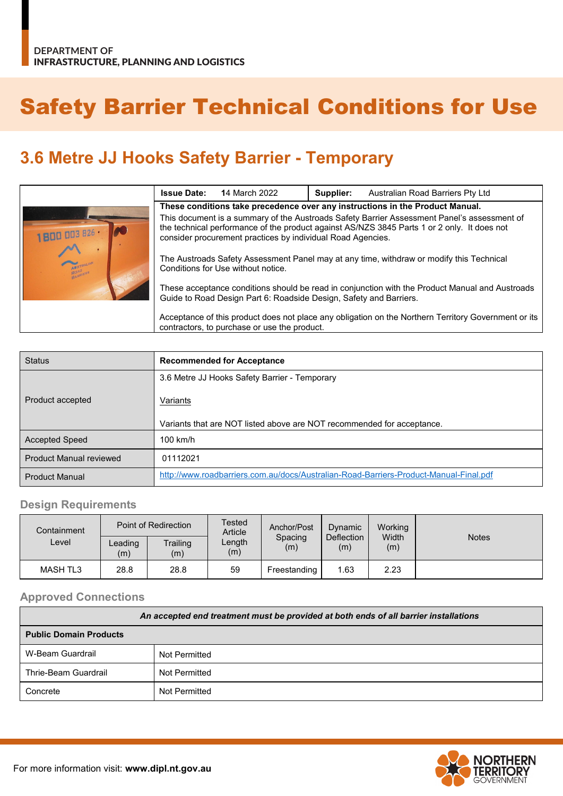# Safety Barrier Technical Conditions for Use

## **3.6 Metre JJ Hooks Safety Barrier - Temporary**

|                   | <b>Issue Date:</b>                                                                                                                                                                                                                                        | <b>14 March 2022</b> | Supplier: | Australian Road Barriers Pty Ltd |
|-------------------|-----------------------------------------------------------------------------------------------------------------------------------------------------------------------------------------------------------------------------------------------------------|----------------------|-----------|----------------------------------|
|                   | These conditions take precedence over any instructions in the Product Manual.                                                                                                                                                                             |                      |           |                                  |
| 1800 003 826 · 20 | This document is a summary of the Austroads Safety Barrier Assessment Panel's assessment of<br>the technical performance of the product against AS/NZS 3845 Parts 1 or 2 only. It does not<br>consider procurement practices by individual Road Agencies. |                      |           |                                  |
| <b>RUARIER</b>    | The Austroads Safety Assessment Panel may at any time, withdraw or modify this Technical<br>Conditions for Use without notice.                                                                                                                            |                      |           |                                  |
|                   | These acceptance conditions should be read in conjunction with the Product Manual and Austroads<br>Guide to Road Design Part 6: Roadside Design, Safety and Barriers.                                                                                     |                      |           |                                  |
|                   | Acceptance of this product does not place any obligation on the Northern Territory Government or its<br>contractors, to purchase or use the product.                                                                                                      |                      |           |                                  |

| <b>Status</b>                  | <b>Recommended for Acceptance</b>                                                     |  |  |  |
|--------------------------------|---------------------------------------------------------------------------------------|--|--|--|
|                                | 3.6 Metre JJ Hooks Safety Barrier - Temporary                                         |  |  |  |
| Product accepted               | Variants                                                                              |  |  |  |
|                                | Variants that are NOT listed above are NOT recommended for acceptance.                |  |  |  |
| <b>Accepted Speed</b>          | $100$ km/h                                                                            |  |  |  |
| <b>Product Manual reviewed</b> | 01112021                                                                              |  |  |  |
| <b>Product Manual</b>          | http://www.roadbarriers.com.au/docs/Australian-Road-Barriers-Product-Manual-Final.pdf |  |  |  |

### **Design Requirements**

| Containment     |                                   | Point of Redirection | Tested<br>Anchor/Post<br>Article<br>Spacing<br>Length<br>(m)<br>(m) | Dynamic      | Working                             |              |              |
|-----------------|-----------------------------------|----------------------|---------------------------------------------------------------------|--------------|-------------------------------------|--------------|--------------|
| Level           | Trailing<br>Leading<br>(m)<br>(m) |                      |                                                                     |              | <b>Deflection</b><br>$\mathsf{(m)}$ | Width<br>(m) | <b>Notes</b> |
| <b>MASH TL3</b> | 28.8                              | 28.8                 | 59                                                                  | Freestanding | 1.63                                | 2.23         |              |

#### **Approved Connections**

| An accepted end treatment must be provided at both ends of all barrier installations |               |  |  |
|--------------------------------------------------------------------------------------|---------------|--|--|
| <b>Public Domain Products</b>                                                        |               |  |  |
| W-Beam Guardrail                                                                     | Not Permitted |  |  |
| Thrie-Beam Guardrail                                                                 | Not Permitted |  |  |
| Concrete                                                                             | Not Permitted |  |  |